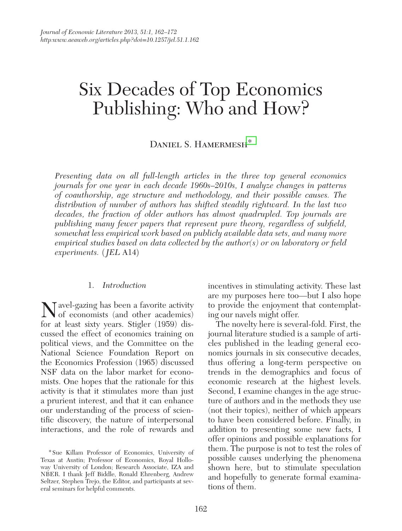# Six Decades of Top Economics Publishing: Who and How?

# DANIEL S. HAMERMESH<sup>\*</sup>

*Presenting data on all full-length articles in the three top general economics journals for one year in each decade 1960s–2010s, I analyze changes in patterns of coauthorship, age structure and methodology, and their possible causes. The distribution of number of authors has shifted steadily rightward. In the last two*  decades, the fraction of older authors has almost quadrupled. Top journals are *publishing many fewer papers that represent pure theory, regardless of subfield, somewhat less empirical work based on publicly available data sets, and many more empirical studies based on data collected by the author(s) or on laboratory or field experiments.* (*JEL* A14)

#### 1. *Introduction*

Navel-gazing has been a favorite activity of economists (and other academics) for at least sixty years. Stigler (1959) discussed the effect of economics training on political views, and the Committee on the National Science Foundation Report on the Economics Profession (1965) discussed NSF data on the labor market for economists. One hopes that the rationale for this activity is that it stimulates more than just a prurient interest, and that it can enhance our understanding of the process of scientific discovery, the nature of interpersonal interactions, and the role of rewards and

incentives in stimulating activity. These last are my purposes here too—but I also hope to provide the enjoyment that contemplating our navels might offer.

The novelty here is several-fold. First, the journal literature studied is a sample of articles published in the leading general economics journals in six consecutive decades, thus offering a long-term perspective on trends in the demographics and focus of economic research at the highest levels. Second, I examine changes in the age structure of authors and in the methods they use (not their topics), neither of which appears to have been considered before. Finally, in addition to presenting some new facts, I offer opinions and possible explanations for them. The purpose is not to test the roles of possible causes underlying the phenomena shown here, but to stimulate speculation and hopefully to generate formal examinations of them.

<sup>\*</sup>Sue Killam Professor of Economics, University of Texas at Austin; Professor of Economics, Royal Holloway University of London; Research Associate, IZA and NBER. I thank Jeff Biddle, Ronald Ehrenberg, Andrew Seltzer, Stephen Trejo, the Editor, and participants at several seminars for helpful comments.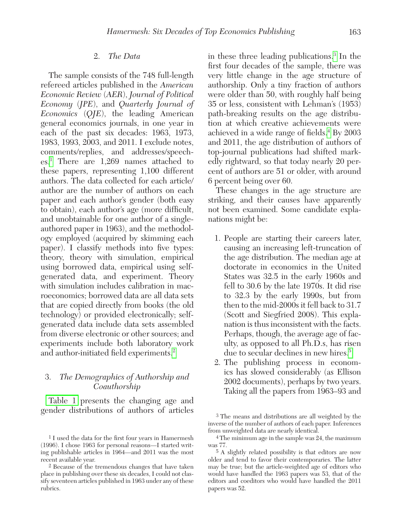### 2. *The Data*

The sample consists of the 748 full-length refereed articles published in the *American Economic Review* (*AER*), *Journal of Political Economy* (*JPE*), and *Quarterly Journal of Economics* (*QJE*), the leading American general economics journals, in one year in each of the past six decades: 1963, 1973, 1983, 1993, 2003, and 2011. I exclude notes, comments/replies, and addresses/speeches[.1](#page-1-0) There are 1,269 names attached to these papers, representing 1,100 different authors. The data collected for each article/ author are the number of authors on each paper and each author's gender (both easy to obtain), each author's age (more difficult, and unobtainable for one author of a singleauthored paper in 1963), and the methodology employed (acquired by skimming each paper). I classify methods into five types: theory, theory with simulation, empirical using borrowed data, empirical using selfgenerated data, and experiment. Theory with simulation includes calibration in macroeconomics; borrowed data are all data sets that are copied directly from books (the old technology) or provided electronically; selfgenerated data include data sets assembled from diverse electronic or other sources; and experiments include both laboratory work and author-initiated field experiments.<sup>2</sup>

## 3. *The Demographics of Authorship and Coauthorship*

[Table 1](#page-2-0) presents the changing age and gender distributions of authors of articles

in these three leading publications[.3](#page-1-2) In the first four decades of the sample, there was very little change in the age structure of authorship. Only a tiny fraction of authors were older than 50, with roughly half being 35 or less, consistent with Lehman's (1953) path-breaking results on the age distribution at which creative achievements were achieved in a wide range of fields.<sup>4</sup> By 2003 and 2011, the age distribution of authors of top-journal publications had shifted markedly rightward, so that today nearly 20 percent of authors are 51 or older, with around 6 percent being over 60.

These changes in the age structure are striking, and their causes have apparently not been examined. Some candidate explanations might be:

- 1. People are starting their careers later, causing an increasing left-truncation of the age distribution. The median age at doctorate in economics in the United States was 32.5 in the early 1960s and fell to 30.6 by the late 1970s. It did rise to 32.3 by the early 1990s, but from then to the mid-2000s it fell back to 31.7 (Scott and Siegfried 2008). This explanation is thus inconsistent with the facts. Perhaps, though, the average age of faculty, as opposed to all Ph.D.s, has risen due to secular declines in new hires.<sup>5</sup>
- 2. The publishing process in economics has slowed considerably (as Ellison 2002 documents), perhaps by two years. Taking all the papers from 1963–93 and

<span id="page-1-2"></span>3 The means and distributions are all weighted by the inverse of the number of authors of each paper. Inferences from unweighted data are nearly identical.

<span id="page-1-0"></span><sup>1</sup> I used the data for the first four years in Hamermesh (1996). I chose 1963 for personal reasons—I started writing publishable articles in 1964—and 2011 was the most recent available year.

<span id="page-1-1"></span><sup>2</sup> Because of the tremendous changes that have taken place in publishing over these six decades, I could not classify seventeen articles published in 1963 under any of these rubrics.

<span id="page-1-3"></span><sup>4</sup> The minimum age in the sample was 24, the maximum was 77.

<span id="page-1-4"></span><sup>5</sup> A slightly related possibility is that editors are now older and tend to favor their contemporaries. The latter may be true; but the article-weighted age of editors who would have handled the 1963 papers was 53, that of the editors and coeditors who would have handled the 2011 papers was 52.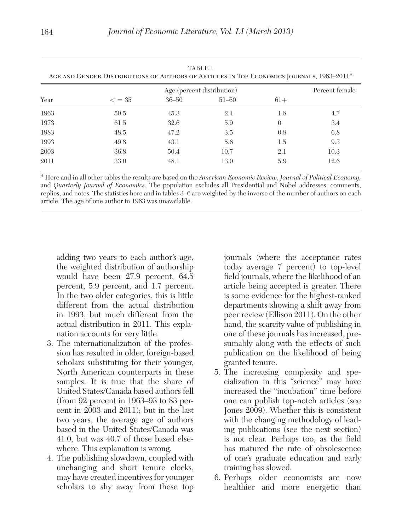<span id="page-2-0"></span>

| <b>TABLE 1</b><br>AGE AND GENDER DISTRIBUTIONS OF AUTHORS OF ARTICLES IN TOP ECONOMICS JOURNALS, 1963–2011 <sup>*</sup> |                 |                |           |          |      |  |
|-------------------------------------------------------------------------------------------------------------------------|-----------------|----------------|-----------|----------|------|--|
|                                                                                                                         |                 | Percent female |           |          |      |  |
| Year                                                                                                                    | $\epsilon = 35$ | $36 - 50$      | $51 - 60$ | $61+$    |      |  |
| 1963                                                                                                                    | 50.5            | 45.3           | 2.4       | 1.8      | 4.7  |  |
| 1973                                                                                                                    | 61.5            | 32.6           | 5.9       | $\Omega$ | 3.4  |  |
| 1983                                                                                                                    | 48.5            | 47.2           | 3.5       | 0.8      | 6.8  |  |
| 1993                                                                                                                    | 49.8            | 43.1           | 5.6       | 1.5      | 9.3  |  |
| 2003                                                                                                                    | 36.8            | 50.4           | 10.7      | 2.1      | 10.3 |  |
| 2011                                                                                                                    | 33.0            | 48.1           | 13.0      | 5.9      | 12.6 |  |

\*Here and in all other tables the results are based on the *American Economic Review*, *Journal of Political Economy,* and *Quarterly Journal of Economics*. The population excludes all Presidential and Nobel addresses, comments, replies, and notes. The statistics here and in tables 3–6 are weighted by the inverse of the number of authors on each article. The age of one author in 1963 was unavailable.

adding two years to each author's age, the weighted distribution of authorship would have been 27.9 percent, 64.5 percent, 5.9 percent, and 1.7 percent. In the two older categories, this is little different from the actual distribution in 1993, but much different from the actual distribution in 2011. This explanation accounts for very little.

- 3. The internationalization of the profession has resulted in older, foreign-based scholars substituting for their younger, North American counterparts in these samples. It is true that the share of United States/Canada based authors fell (from 92 percent in 1963–93 to 83 percent in 2003 and 2011); but in the last two years, the average age of authors based in the United States/Canada was 41.0, but was 40.7 of those based elsewhere. This explanation is wrong.
- 4. The publishing slowdown, coupled with unchanging and short tenure clocks, may have created incentives for younger scholars to shy away from these top

journals (where the acceptance rates today average 7 percent) to top-level field journals, where the likelihood of an article being accepted is greater. There is some evidence for the highest-ranked departments showing a shift away from peer review (Ellison 2011). On the other hand, the scarcity value of publishing in one of these journals has increased, presumably along with the effects of such publication on the likelihood of being granted tenure.

- 5. The increasing complexity and specialization in this "science" may have increased the "incubation" time before one can publish top-notch articles (see Jones 2009). Whether this is consistent with the changing methodology of leading publications (see the next section) is not clear. Perhaps too, as the field has matured the rate of obsolescence of one's graduate education and early training has slowed.
- 6. Perhaps older economists are now healthier and more energetic than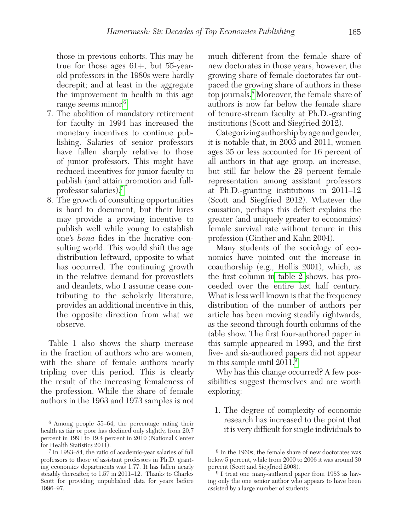those in previous cohorts. This may be true for those ages 61+, but 55-yearold professors in the 1980s were hardly decrepit; and at least in the aggregate the improvement in health in this age range seems minor.<sup>6</sup>

- 7. The abolition of mandatory retirement for faculty in 1994 has increased the monetary incentives to continue publishing. Salaries of senior professors have fallen sharply relative to those of junior professors. This might have reduced incentives for junior faculty to publish (and attain promotion and fullprofessor salaries)[.7](#page-3-1)
- 8. The growth of consulting opportunities is hard to document, but their lures may provide a growing incentive to publish well while young to establish one's *bona* fides in the lucrative consulting world. This would shift the age distribution leftward, opposite to what has occurred. The continuing growth in the relative demand for provostlets and deanlets, who I assume cease contributing to the scholarly literature, provides an additional incentive in this, the opposite direction from what we observe.

Table 1 also shows the sharp increase in the fraction of authors who are women, with the share of female authors nearly tripling over this period. This is clearly the result of the increasing femaleness of the profession. While the share of female authors in the 1963 and 1973 samples is not

much different from the female share of new doctorates in those years, however, the growing share of female doctorates far outpaced the growing share of authors in these top journals[.8](#page-3-2) Moreover, the female share of authors is now far below the female share of tenure-stream faculty at Ph.D.-granting institutions (Scott and Siegfried 2012).

Categorizing authorship by age and gender, it is notable that, in 2003 and 2011, women ages 35 or less accounted for 16 percent of all authors in that age group, an increase, but still far below the 29 percent female representation among assistant professors at Ph.D.-granting institutions in 2011–12 (Scott and Siegfried 2012). Whatever the causation, perhaps this deficit explains the greater (and uniquely greater to economics) female survival rate without tenure in this profession (Ginther and Kahn 2004).

Many students of the sociology of economics have pointed out the increase in coauthorship (e.g., Hollis 2001), which, as the first column in [table 2 s](#page-4-0)hows, has proceeded over the entire last half century. What is less well known is that the frequency distribution of the number of authors per article has been moving steadily rightwards, as the second through fourth columns of the table show. The first four-authored paper in this sample appeared in 1993, and the first five- and six-authored papers did not appear in this sample until 2011[.9](#page-3-3)

Why has this change occurred? A few possibilities suggest themselves and are worth exploring:

1. The degree of complexity of economic research has increased to the point that it is very difficult for single individuals to

<span id="page-3-0"></span><sup>6</sup> Among people 55–64, the percentage rating their health as fair or poor has declined only slightly, from 20.7 percent in 1991 to 19.4 percent in 2010 (National Center for Health Statistics 2011).

<span id="page-3-1"></span><sup>7</sup> In 1983–84, the ratio of academic-year salaries of full professors to those of assistant professors in Ph.D. granting economics departments was 1.77. It has fallen nearly steadily thereafter, to 1.57 in 2011–12. Thanks to Charles Scott for providing unpublished data for years before 1996–97.

<span id="page-3-2"></span><sup>8</sup> In the 1960s, the female share of new doctorates was below 5 percent, while from 2000 to 2006 it was around 30 percent (Scott and Siegfried 2008).

<span id="page-3-3"></span><sup>9</sup> I treat one many-authored paper from 1983 as having only the one senior author who appears to have been assisted by a large number of students.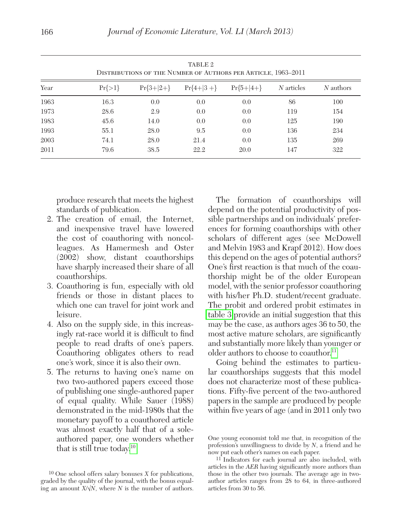<span id="page-4-0"></span>

|      |            | TABLE 2<br>DISTRIBUTIONS OF THE NUMBER OF AUTHORS PER ARTICLE, 1963-2011 |                         |      |            |           |  |
|------|------------|--------------------------------------------------------------------------|-------------------------|------|------------|-----------|--|
| Year | $Pr\{>1\}$ | $Pr{3+ 2+}$                                                              | $Pr{4+ 3+}$ $Pr{5+ 4+}$ |      | N articles | N authors |  |
| 1963 | 16.3       | 0.0                                                                      | 0.0                     | 0.0  | 86         | 100       |  |
| 1973 | 28.6       | 2.9                                                                      | 0.0                     | 0.0  | 119        | 154       |  |
| 1983 | 45.6       | 14.0                                                                     | 0.0                     | 0.0  | 125        | 190       |  |
| 1993 | 55.1       | 28.0                                                                     | 9.5                     | 0.0  | 136        | 234       |  |
| 2003 | 74.1       | 28.0                                                                     | 21.4                    | 0.0  | 135        | 269       |  |
| 2011 | 79.6       | 38.5                                                                     | 22.2                    | 20.0 | 147        | 322       |  |

produce research that meets the highest standards of publication.

- 2. The creation of email, the Internet, and inexpensive travel have lowered the cost of coauthoring with noncolleagues. As Hamermesh and Oster (2002) show, distant coauthorships have sharply increased their share of all coauthorships.
- 3. Coauthoring is fun, especially with old friends or those in distant places to which one can travel for joint work and leisure.
- 4. Also on the supply side, in this increasingly rat-race world it is difficult to find people to read drafts of one's papers. Coauthoring obligates others to read one's work, since it is also their own.
- 5. The returns to having one's name on two two-authored papers exceed those of publishing one single-authored paper of equal quality. While Sauer (1988) demonstrated in the mid-1980s that the monetary payoff to a coauthored article was almost exactly half that of a soleauthored paper, one wonders whether that is still true today.<sup>10</sup>

The formation of coauthorships will depend on the potential productivity of possible partnerships and on individuals' preferences for forming coauthorships with other scholars of different ages (see McDowell and Melvin 1983 and Krapf 2012). How does this depend on the ages of potential authors? One's first reaction is that much of the coauthorship might be of the older European model, with the senior professor coauthoring with his/her Ph.D. student/recent graduate. The probit and ordered probit estimates in [table 3](#page-5-0) provide an initial suggestion that this may be the case, as authors ages 36 to 50, the most active mature scholars, are significantly and substantially more likely than younger or older authors to choose to coauthor.<sup>11</sup>

Going behind the estimates to particular coauthorships suggests that this model does not characterize most of these publications. Fifty-five percent of the two-authored papers in the sample are produced by people within five years of age (and in 2011 only two

<span id="page-4-1"></span><sup>10</sup> One school offers salary bonuses *X* for publications, graded by the quality of the journal, with the bonus equaling an amount  $X/\sqrt{N}$ , where *N* is the number of authors.

One young economist told me that, in recognition of the profession's unwillingness to divide by *N*, a friend and he now put each other's names on each paper.

<span id="page-4-2"></span><sup>11</sup> Indicators for each journal are also included, with articles in the *AER* having significantly more authors than those in the other two journals. The average age in twoauthor articles ranges from 28 to 64, in three-authored articles from 30 to 56.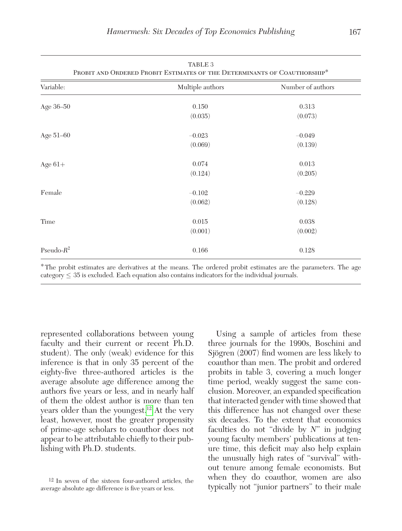<span id="page-5-0"></span>

| TABLE 3<br>PROBIT AND ORDERED PROBIT ESTIMATES OF THE DETERMINANTS OF COAUTHORSHIP* |                  |                   |  |  |  |
|-------------------------------------------------------------------------------------|------------------|-------------------|--|--|--|
| Variable:                                                                           | Multiple authors | Number of authors |  |  |  |
| Age 36-50                                                                           | 0.150            | 0.313             |  |  |  |
|                                                                                     | (0.035)          | (0.073)           |  |  |  |
| Age 51-60                                                                           | $-0.023$         | $-0.049$          |  |  |  |
|                                                                                     | (0.069)          | (0.139)           |  |  |  |
| Age $61+$                                                                           | 0.074            | 0.013             |  |  |  |
|                                                                                     | (0.124)          | (0.205)           |  |  |  |
| Female                                                                              | $-0.102$         | $-0.229$          |  |  |  |
|                                                                                     | (0.062)          | (0.128)           |  |  |  |
| Time                                                                                | 0.015            | 0.038             |  |  |  |
|                                                                                     | (0.001)          | (0.002)           |  |  |  |
| Pseudo- $R^2$                                                                       | 0.166            | 0.128             |  |  |  |

\*The probit estimates are derivatives at the means. The ordered probit estimates are the parameters. The age category  $\leq$  35 is excluded. Each equation also contains indicators for the individual journals.

represented collaborations between young faculty and their current or recent Ph.D. student). The only (weak) evidence for this inference is that in only 35 percent of the eighty-five three-authored articles is the average absolute age difference among the authors five years or less, and in nearly half of them the oldest author is more than ten years older than the youngest[.12](#page-5-1) At the very least, however, most the greater propensity of prime-age scholars to coauthor does not appear to be attributable chiefly to their publishing with Ph.D. students.

Using a sample of articles from these three journals for the 1990s, Boschini and Sjögren (2007) find women are less likely to coauthor than men. The probit and ordered probits in table 3, covering a much longer time period, weakly suggest the same conclusion. Moreover, an expanded specification that interacted gender with time showed that this difference has not changed over these six decades. To the extent that economics faculties do not "divide by *N*" in judging young faculty members' publications at tenure time, this deficit may also help explain the unusually high rates of "survival" without tenure among female economists. But when they do coauthor, women are also typically not "junior partners" to their male

<span id="page-5-1"></span><sup>12</sup> In seven of the sixteen four-authored articles, the average absolute age difference is five years or less.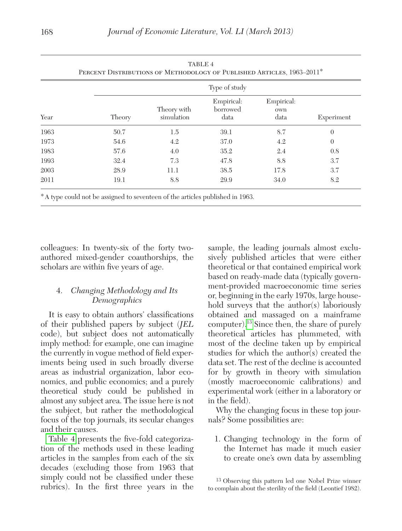| Year | Type of study |                           |                                |                           |                |  |
|------|---------------|---------------------------|--------------------------------|---------------------------|----------------|--|
|      | Theory        | Theory with<br>simulation | Empirical:<br>borrowed<br>data | Empirical:<br>own<br>data | Experiment     |  |
| 1963 | 50.7          | $1.5\,$                   | 39.1                           | 8.7                       | $\overline{0}$ |  |
| 1973 | 54.6          | 4.2                       | 37.0                           | 4.2                       | $\theta$       |  |
| 1983 | 57.6          | 4.0                       | 35.2                           | 2.4                       | 0.8            |  |
| 1993 | 32.4          | 7.3                       | 47.8                           | 8.8                       | 3.7            |  |
| 2003 | 28.9          | 11.1                      | 38.5                           | 17.8                      | 3.7            |  |
| 2011 | 19.1          | 8.8                       | 29.9                           | 34.0                      | 8.2            |  |

colleagues: In twenty-six of the forty twoauthored mixed-gender coauthorships, the scholars are within five years of age.

# 4. *Changing Methodology and Its Demographics*

It is easy to obtain authors' classifications of their published papers by subject (*JEL* code), but subject does not automatically imply method: for example, one can imagine the currently in vogue method of field experiments being used in such broadly diverse areas as industrial organization, labor economics, and public economics; and a purely theoretical study could be published in almost any subject area. The issue here is not the subject, but rather the methodological focus of the top journals, its secular changes and their causes.

Table 4 presents the five-fold categorization of the methods used in these leading articles in the samples from each of the six decades (excluding those from 1963 that simply could not be classified under these rubrics). In the first three years in the sample, the leading journals almost exclusively published articles that were either theoretical or that contained empirical work based on ready-made data (typically government-provided macroeconomic time series or, beginning in the early 1970s, large household surveys that the author(s) laboriously obtained and massaged on a mainframe computer)[.13](#page-6-0) Since then, the share of purely theoretical articles has plummeted, with most of the decline taken up by empirical studies for which the author(s) created the data set. The rest of the decline is accounted for by growth in theory with simulation (mostly macroeconomic calibrations) and experimental work (either in a laboratory or in the field).

Why the changing focus in these top journals? Some possibilities are:

1. Changing technology in the form of the Internet has made it much easier to create one's own data by assembling

<span id="page-6-0"></span>13 Observing this pattern led one Nobel Prize winner to complain about the sterility of the field (Leontief 1982).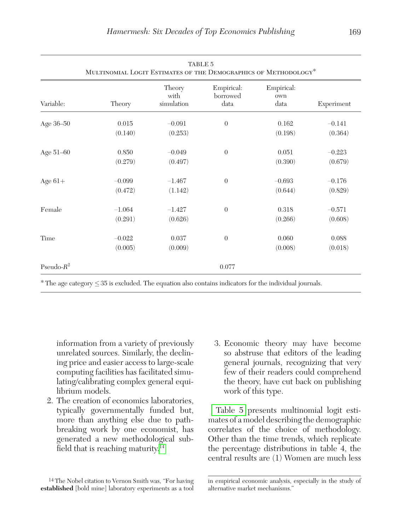| TABLE 5<br>MULTINOMIAL LOGIT ESTIMATES OF THE DEMOGRAPHICS OF METHODOLOGY* |                     |                              |                                |                           |                     |
|----------------------------------------------------------------------------|---------------------|------------------------------|--------------------------------|---------------------------|---------------------|
| Variable:                                                                  | Theory              | Theory<br>with<br>simulation | Empirical:<br>borrowed<br>data | Empirical:<br>own<br>data | Experiment          |
| Age 36-50                                                                  | 0.015<br>(0.140)    | $-0.091$<br>(0.253)          | $\theta$                       | 0.162<br>(0.198)          | $-0.141$<br>(0.364) |
| Age 51-60                                                                  | 0.850<br>(0.279)    | $-0.049$<br>(0.497)          | $\theta$                       | 0.051<br>(0.390)          | $-0.223$<br>(0.679) |
| Age $61+$                                                                  | $-0.099$<br>(0.472) | $-1.467$<br>(1.142)          | $\overline{0}$                 | $-0.693$<br>(0.644)       | $-0.176$<br>(0.829) |
| Female                                                                     | $-1.064$<br>(0.291) | $-1.427$<br>(0.626)          | $\theta$                       | 0.318<br>(0.266)          | $-0.571$<br>(0.608) |
| Time                                                                       | $-0.022$<br>(0.005) | 0.037<br>(0.009)             | $\theta$                       | 0.060<br>(0.008)          | 0.088<br>(0.018)    |
| Pseudo- $R^2$                                                              |                     |                              | 0.077                          |                           |                     |

\* The age category ≤35 is excluded. The equation also contains indicators for the individual journals.

information from a variety of previously unrelated sources. Similarly, the declining price and easier access to large-scale computing facilities has facilitated simulating/calibrating complex general equilibrium models.

2. The creation of economics laboratories, typically governmentally funded but, more than anything else due to pathbreaking work by one economist, has generated a new methodological sub-field that is reaching maturity.<sup>[14](#page-7-0)</sup>

3. Economic theory may have become so abstruse that editors of the leading general journals, recognizing that very few of their readers could comprehend the theory, have cut back on publishing work of this type.

Table 5 presents multinomial logit estimates of a model describing the demographic correlates of the choice of methodology. Other than the time trends, which replicate the percentage distributions in table 4, the central results are (1) Women are much less

<span id="page-7-0"></span><sup>14</sup> The Nobel citation to Vernon Smith was, *"*For having **established** [bold mine] laboratory experiments as a tool

in empirical economic analysis, especially in the study of alternative market mechanisms.'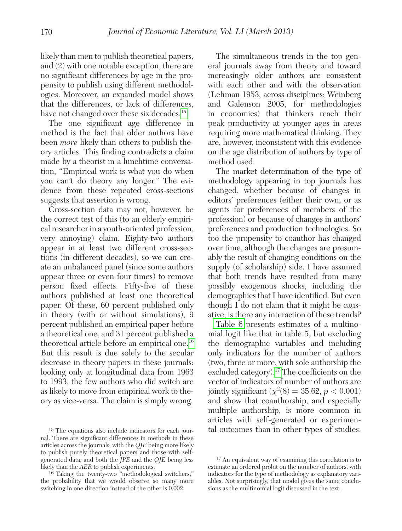likely than men to publish theoretical papers, and (2) with one notable exception, there are no significant differences by age in the propensity to publish using different methodologies. Moreover, an expanded model shows that the differences, or lack of differences, have not changed over these six decades.<sup>15</sup>

The one significant age difference in method is the fact that older authors have been *more* likely than others to publish theory articles. This finding contradicts a claim made by a theorist in a lunchtime conversation, "Empirical work is what you do when you can't do theory any longer." The evidence from these repeated cross-sections suggests that assertion is wrong.

Cross-section data may not, however, be the correct test of this (to an elderly empirical researcher in a youth-oriented profession, very annoying) claim. Eighty-two authors appear in at least two different cross-sections (in different decades), so we can create an unbalanced panel (since some authors appear three or even four times) to remove person fixed effects. Fifty-five of these authors published at least one theoretical paper. Of these, 60 percent published only in theory (with or without simulations), 9 percent published an empirical paper before a theoretical one, and 31 percent published a theoretical article before an empirical one[.16](#page-8-1) But this result is due solely to the secular decrease in theory papers in these journals: looking only at longitudinal data from 1963 to 1993, the few authors who did switch are as likely to move from empirical work to theory as vice-versa. The claim is simply wrong.

The simultaneous trends in the top general journals away from theory and toward increasingly older authors are consistent with each other and with the observation (Lehman 1953, across disciplines; Weinberg and Galenson 2005, for methodologies in economics) that thinkers reach their peak productivity at younger ages in areas requiring more mathematical thinking. They are, however, inconsistent with this evidence on the age distribution of authors by type of method used.

The market determination of the type of methodology appearing in top journals has changed, whether because of changes in editors' preferences (either their own, or as agents for preferences of members of the profession) or because of changes in authors' preferences and production technologies. So too the propensity to coauthor has changed over time, although the changes are presumably the result of changing conditions on the supply (of scholarship) side. I have assumed that both trends have resulted from many possibly exogenous shocks, including the demographics that I have identified. But even though I do not claim that it might be causative, is there any interaction of these trends?

[Table 6](#page-9-0) presents estimates of a multinomial logit like that in table 5, but excluding the demographic variables and including only indicators for the number of authors (two, three or more, with sole authorship the excluded category).<sup>17</sup> The coefficients on the vector of indicators of number of authors are jointly significant  $(\chi^2(8) = 35.62, p < 0.001)$ and show that coauthorship, and especially multiple authorship, is more common in articles with self-generated or experimental outcomes than in other types of studies.

<span id="page-8-0"></span><sup>15</sup> The equations also include indicators for each journal. There are significant differences in methods in these articles across the journals, with the *QJE* being more likely to publish purely theoretical papers and those with selfgenerated data, and both the *JPE* and the *QJE* being less likely than the *AER* to publish experiments.

<span id="page-8-1"></span><sup>16</sup> Taking the twenty-two "methodological switchers," the probability that we would observe so many more switching in one direction instead of the other is 0.002.

<span id="page-8-2"></span><sup>17</sup> An equivalent way of examining this correlation is to estimate an ordered probit on the number of authors, with indicators for the type of methodology as explanatory variables. Not surprisingly, that model gives the same conclusions as the multinomial logit discussed in the text.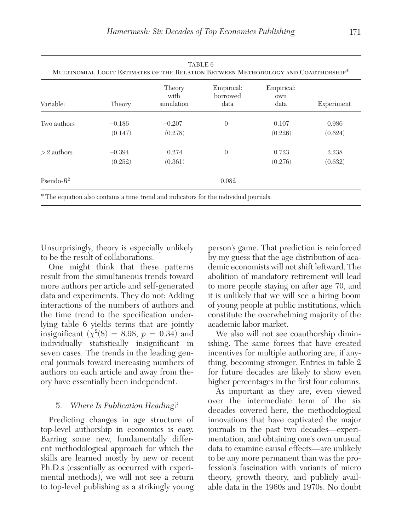<span id="page-9-0"></span>

| TABLE 6<br>MULTINOMIAL LOGIT ESTIMATES OF THE RELATION BETWEEN METHODOLOGY AND COAUTHORSHIP* |                     |                                                                                                  |                                |                           |                  |  |
|----------------------------------------------------------------------------------------------|---------------------|--------------------------------------------------------------------------------------------------|--------------------------------|---------------------------|------------------|--|
| Variable:                                                                                    | Theory              | Theory<br>with<br>simulation                                                                     | Empirical:<br>borrowed<br>data | Empirical:<br>own<br>data | Experiment       |  |
| Two authors                                                                                  | $-0.186$<br>(0.147) | $-0.207$<br>(0.278)                                                                              | $\theta$                       | 0.107<br>(0.226)          | 0.986<br>(0.624) |  |
| $>2$ authors                                                                                 | $-0.394$<br>(0.252) | 0.274<br>(0.361)                                                                                 | $\Omega$                       | 0.723<br>(0.276)          | 2.238<br>(0.632) |  |
| Pseudo- $R^2$                                                                                |                     |                                                                                                  | 0.082                          |                           |                  |  |
|                                                                                              |                     | <sup>*</sup> The equation also contains a time trend and indicators for the individual journals. |                                |                           |                  |  |

Unsurprisingly, theory is especially unlikely to be the result of collaborations.

One might think that these patterns result from the simultaneous trends toward more authors per article and self-generated data and experiments. They do not: Adding interactions of the numbers of authors and the time trend to the specification underlying table 6 yields terms that are jointly insignificant  $(\chi^2(8) = 8.98, p = 0.34)$  and individually statistically insignificant in seven cases. The trends in the leading general journals toward increasing numbers of authors on each article and away from theory have essentially been independent.

#### 5. *Where Is Publication Heading?*

Predicting changes in age structure of top-level authorship in economics is easy. Barring some new, fundamentally different methodological approach for which the skills are learned mostly by new or recent Ph.D.s (essentially as occurred with experimental methods), we will not see a return to top-level publishing as a strikingly young

person's game. That prediction is reinforced by my guess that the age distribution of academic economists will not shift leftward. The abolition of mandatory retirement will lead to more people staying on after age 70, and it is unlikely that we will see a hiring boom of young people at public institutions, which constitute the overwhelming majority of the academic labor market.

We also will not see coauthorship diminishing. The same forces that have created incentives for multiple authoring are, if anything, becoming stronger. Entries in table 2 for future decades are likely to show even higher percentages in the first four columns.

As important as they are, even viewed over the intermediate term of the six decades covered here, the methodological innovations that have captivated the major journals in the past two decades—experimentation, and obtaining one's own unusual data to examine causal effects—are unlikely to be any more permanent than was the profession's fascination with variants of micro theory, growth theory, and publicly available data in the 1960s and 1970s. No doubt